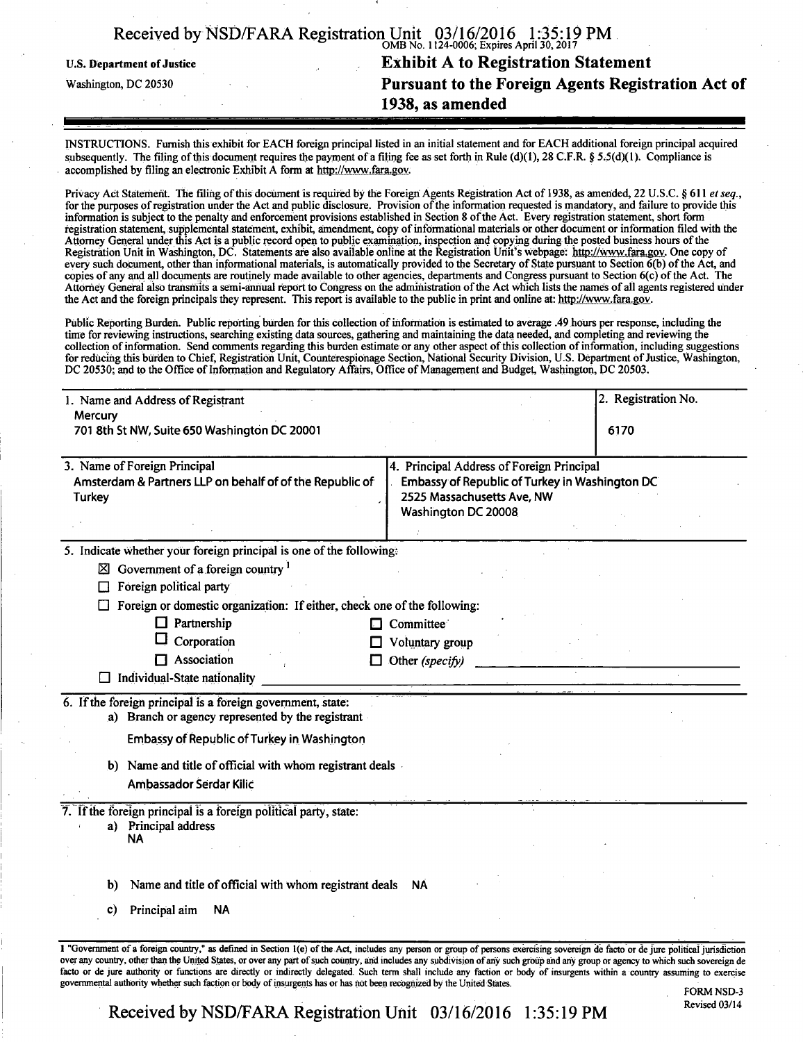| Received by NSD/FARA Registration Unit 03/16/2016 1:35:19 PM. |                                           |  |
|---------------------------------------------------------------|-------------------------------------------|--|
|                                                               | OMB No. 1124-0006; Expires April 30, 2017 |  |

U.S. Department of Justice

Washington, DC 20530

# **Exhibit A to Registration Statement Pursuant to the Foreign Agents Registration Act of 1938, as amended**

INSTRUCTIONS. Furnish this exhibit for EACH foreign principal listed in an initial statement and for EACH additional foreign principal acquired subsequently. The filing of this document requires the payment of a filing fee as set forth in Rule (d)(1), 28 C.F.R. § 5.5(d)(1). Compliance is accomplished by filing an electronic Exhibit A form at http://www.fara.gov.

Privacy Act Statement. The filing of this document is required by the Foreign Agents Registration Act of 1938, as amended, 22 U.S.C. § 611 et seq., for the purposes of registration under the Act and public disclosure. Provision ofthe information requested is mandatory, and failure to provide this information is subject to the penalty and enforcement provisions established in Section 8 ofthe Act. Every registration statement, short form registration statement, supplemental statement, exhibit, amendment, copy of informational materials or other document or information filed with the Attorney General under this Act is a public record open to public examination, inspection and copying during the posted business hours of the Registration Unit in Washington, DC. Statements are also available online at the Registration Unit's webpage: http://Www.fara.gov. One copy of every such document, other than informational materials, is automatically provided to the Secretary of State pursuant to Section  $\vec{\theta}$ (b) of the Act, and copies of any and all documents are routinely made available to other agencies, departments and Congress pursuant to Section 6(c) of the Act. The Attorney General also transmits a semi-annual report to Congress on the administration ofthe Act which lists the names of all agents registered under the Act and the foreign principals they represent. This report is available to the public in print and online at: http://www.fara.gov.

Public Reporting Burden. Public reporting burden for this collection of information is estimated to average .49 hours per response, including the time for reviewing instructions, searching existing data sources, gathering and maintaining the data needed, and completing and reviewing the collection of information. Send comments regarding this burden estimate or any other aspect of this collection of information, including suggestions for reducing this burden to Chief, Registration Unit, Counterespionage Section, National Security Division, U.S. Department of Justice, Washington, DC 20530; and to the Office of Information and Regulatory Affairs, Office of Management and Budget, Washington, DC 20503.

| Mercury                                                                                                                                                                                                                                |                     |
|----------------------------------------------------------------------------------------------------------------------------------------------------------------------------------------------------------------------------------------|---------------------|
| 701 8th St NW, Suite 650 Washington DC 20001                                                                                                                                                                                           | 6170                |
|                                                                                                                                                                                                                                        |                     |
| 3. Name of Foreign Principal<br>4. Principal Address of Foreign Principal<br>Embassy of Republic of Turkey in Washington DC<br>Amsterdam & Partners LLP on behalf of of the Republic of<br>2525 Massachusetts Ave, NW<br><b>Turkey</b> |                     |
|                                                                                                                                                                                                                                        | Washington DC 20008 |
| 5. Indicate whether your foreign principal is one of the following:                                                                                                                                                                    |                     |
| $\boxtimes$ Government of a foreign country $^1$                                                                                                                                                                                       |                     |
| Foreign political party                                                                                                                                                                                                                |                     |
| Foreign or domestic organization: If either, check one of the following:                                                                                                                                                               |                     |
| $\Box$ Partnership                                                                                                                                                                                                                     | Committee<br>l-T    |
| Corporation                                                                                                                                                                                                                            | Voluntary group     |
| $\Box$ Association                                                                                                                                                                                                                     | Other (specify)     |
| Individual-State nationality                                                                                                                                                                                                           |                     |
| 6. If the foreign principal is a foreign government, state:                                                                                                                                                                            |                     |
| a) Branch or agency represented by the registrant                                                                                                                                                                                      |                     |
| <b>Embassy of Republic of Turkey in Washington</b>                                                                                                                                                                                     |                     |
| b) Name and title of official with whom registrant deals                                                                                                                                                                               |                     |
| Ambassador Serdar Kilic                                                                                                                                                                                                                |                     |
| 7. If the foreign principal is a foreign political party, state:                                                                                                                                                                       |                     |
| a) Principal address<br>NA                                                                                                                                                                                                             |                     |
|                                                                                                                                                                                                                                        |                     |
| Name and title of official with whom registrant deals NA<br>b)                                                                                                                                                                         |                     |
|                                                                                                                                                                                                                                        |                     |
| Principal aim<br><b>NA</b><br>C)                                                                                                                                                                                                       |                     |

FORM NSD-3<br>Revised 03/14

Received by NSD/FARA Registration Unit 03/16/2016 1:35:19 PM

governmental authority whether such faction or body of insurgents has or has not been recognized by the United States.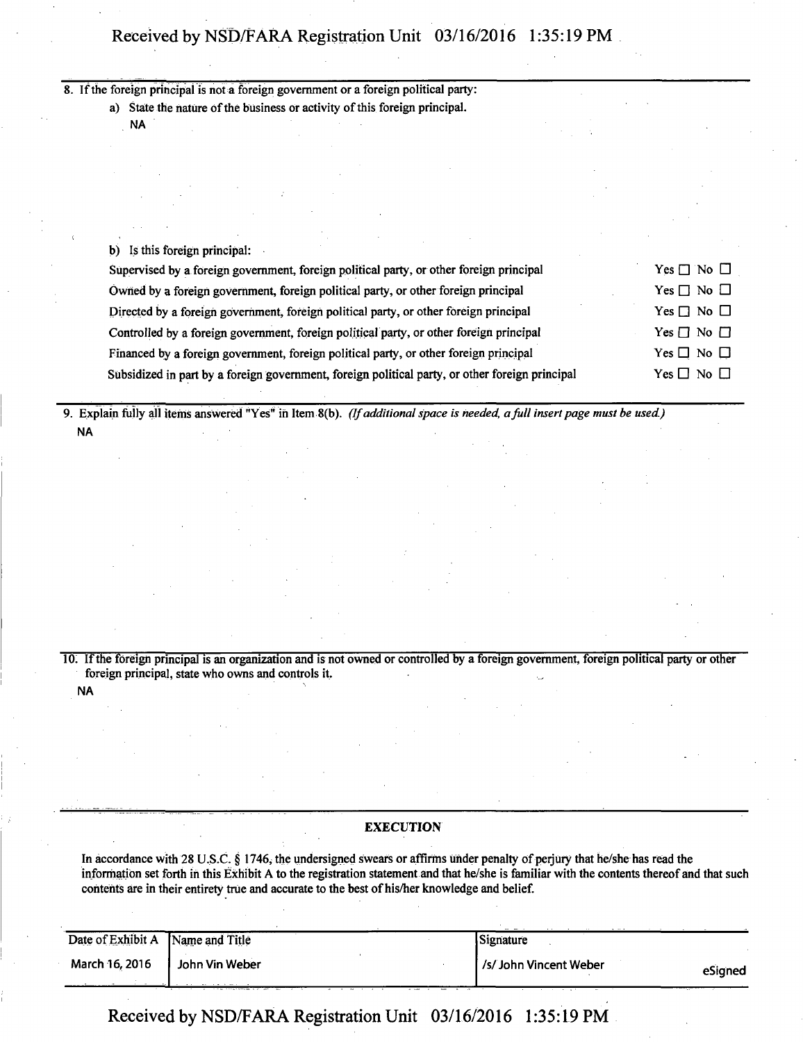8. If the foreign principal is not a foreign government or a foreign political party: a) State the nature of the business or activity of this foreign principal.

NA

**NA** 

b) Is this foreign principal:

| Supervised by a foreign government, foreign political party, or other foreign principal         | $Yes \Box No \Box$   |
|-------------------------------------------------------------------------------------------------|----------------------|
| Owned by a foreign government, foreign political party, or other foreign principal              | Yes $\Box$ No $\Box$ |
| Directed by a foreign government, foreign political party, or other foreign principal           | Yes $\Box$ No $\Box$ |
| Controlled by a foreign government, foreign political party, or other foreign principal         | Yes $\Box$ No $\Box$ |
| Financed by a foreign government, foreign political party, or other foreign principal           | Yes $\Box$ No $\Box$ |
| Subsidized in part by a foreign government, foreign political party, or other foreign principal | Yes $\Box$ No $\Box$ |

**9. Explain fully all items answered "YeS" in Item 8(b). (If additional space is heeded a full insert page must be used.) NA** 

10. If the foreign principal is an organization and is not owned or controlled by a foreign government, foreign political party or other foreign principal, state who owns and controls it.

#### **EXECUTION**

In accordance with 28 U.S.C. § 1746, the undersigned swears or affirms under penalty of perjury that he/she has read the information set forth in this Exhibit A to the registration statement and that he/she is familiar with the contents thereof and that such contents are in their entirety true and accurate to the best of his/her knowledge and belief.

| Date of Exhibit A | Name and Title | Signature             |         |
|-------------------|----------------|-----------------------|---------|
| March 16, 2016    | John Vin Weber | /s/John Vincent Weber | eSianed |
|                   |                |                       |         |

**Received by NSD/FARA Registration Unit 03/16/2016 1:35:19 PM**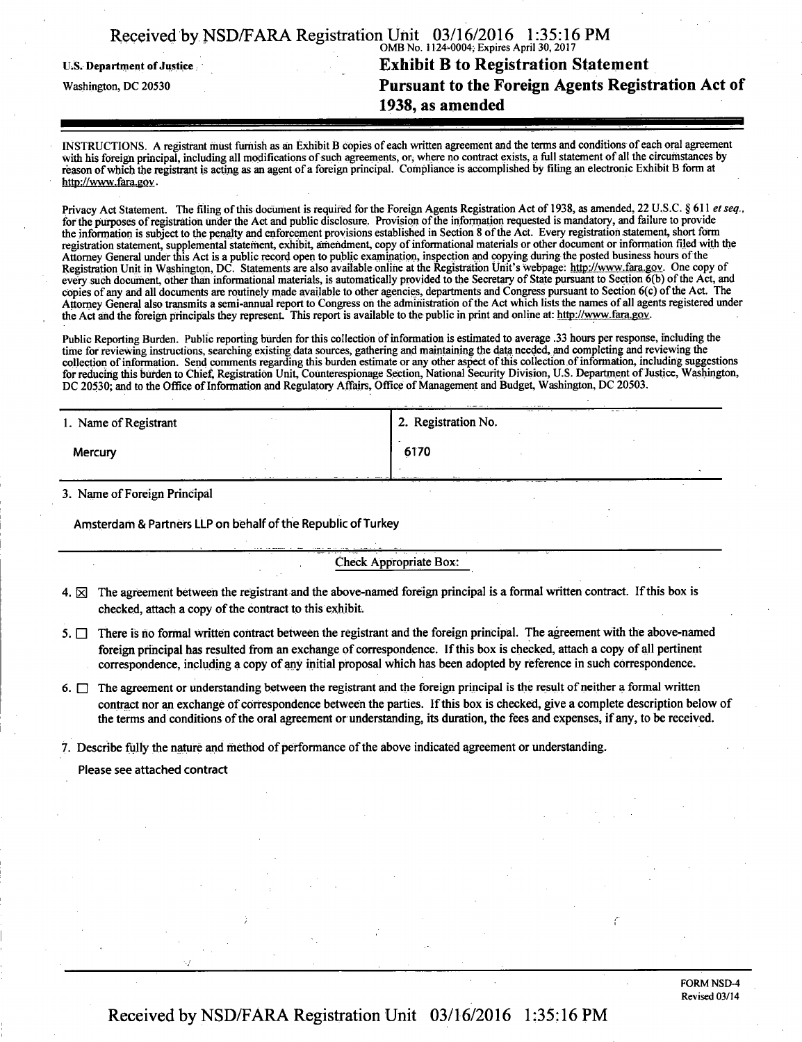|                                                                            | 1938, as amended                                             |  |
|----------------------------------------------------------------------------|--------------------------------------------------------------|--|
| Pursuant to the Foreign Agents Registration Act of<br>Washington, DC 20530 |                                                              |  |
| U.S. Department of Justice                                                 | <b>Exhibit B to Registration Statement</b>                   |  |
|                                                                            | OMB No. 1124-0004; Expires April 30, 2017                    |  |
|                                                                            | Received by NSD/FARA Registration Unit 03/16/2016 1:35:16 PM |  |

INSTRUCTIONS. A registrant must furnish as an Exhibit B copies of each written agreement and the terms and conditions of each oral agreement with his foreign principal, including all modifications of such agreements, or, where no contract exists, a full statement of all the circumstances by reason of which the registrant is acting as an agent of a foreign principal. Compliance is accomplished by filing an electronic Exhibit B form at http://www.fara.gov •

Privacy Act Statement. The filing of this document is required for the Foreign Agents Registration Act of 1938, as amended, 22 U.S.C. § 611 et seq., for the purposes of registration under the Act and public disclosure. Provision ofthe information requested is mandatory, and failure to provide the information is subject to the penalty and enforcement provisions established in Section 8 of the Act. Every registration statement, short form registration statement, supplemental statement, exhibit, amendment, copy of informational materials or other document or information filed with the Attorney General under this Act is a public record open to public examination, inspection and copying during the posted business hours of the Registration Unit in Washington, DC. Statements are also available online at the Registration Unit's webpage: http://www.fara.gov. One copy of every such document, other than informational materials, is automatically provided to the Secretary of State pursuant to Section 6(b) ofthe Act, and copies of any and all documents are routinely made available to other agencies, departments and Congress pursuant to Section 6(c) ofthe Act. The Attorney General also transmits a semi-annual report to Congress on the administration ofthe Act which lists the names of all agents registered under the Act and the foreign principals they represent. This report is available to the public in print and online at: http://www.fara.gov.

Public Reporting Burden. Public reporting burden for this collection of information is estimated to average .33 hours per response, including the time for reviewing instructions, searching existing data sources, gathering and maintaining the data needed, and completing and reviewing the collection of information. Send comments regarding this burden estimate or any other aspect of this collection of information, including suggestions for reducing this burden to Chief, Registration Unit, Counterespionage Section, National Security Division, U.S. Department of Justice, Washington, DC 20530; and to the Office of Information and Regulatory Affairs, Office of Management and Budget, Washington, DC 20503.

| 1. Name of Registrant | <b>State Control</b> | 2. Registration No. | --- |
|-----------------------|----------------------|---------------------|-----|
| Mercury               |                      | 6170                |     |
|                       | .                    | Arr -               |     |

3 . Name of Foreign Principal

Amsterdam & Partners LLP on behalf of the Republic of Turkey

#### Check Appropriate Box:

- 4.  $\boxtimes$  The agreement between the registrant and the above-named foreign principal is a formal written contract. If this box is checked, attach a copy of the contract to this exhibit.
- 5.  $\Box$  There is no formal written contract between the registrant and the foreign principal. The agreement with the above-named foreign principal has resulted from an exchange of correspondence. If this box is checked, attach a copy of all pertinent correspondence, including a copy of any initial proposal which has been adopted by reference in such correspondence.
- 6.  $\Box$  The agreement or understanding between the registrant and the foreign principal is the result of neither a formal written contract nor an exchange of correspondence between the parties. If this box is checked, give a complete description below of the terms and conditions of the oral agreement or understanding, its duration, the fees and expenses, if any, to be received.

7. Describe fully the nature and method of performance of the above indicated agreement or understanding.

Please see attached contract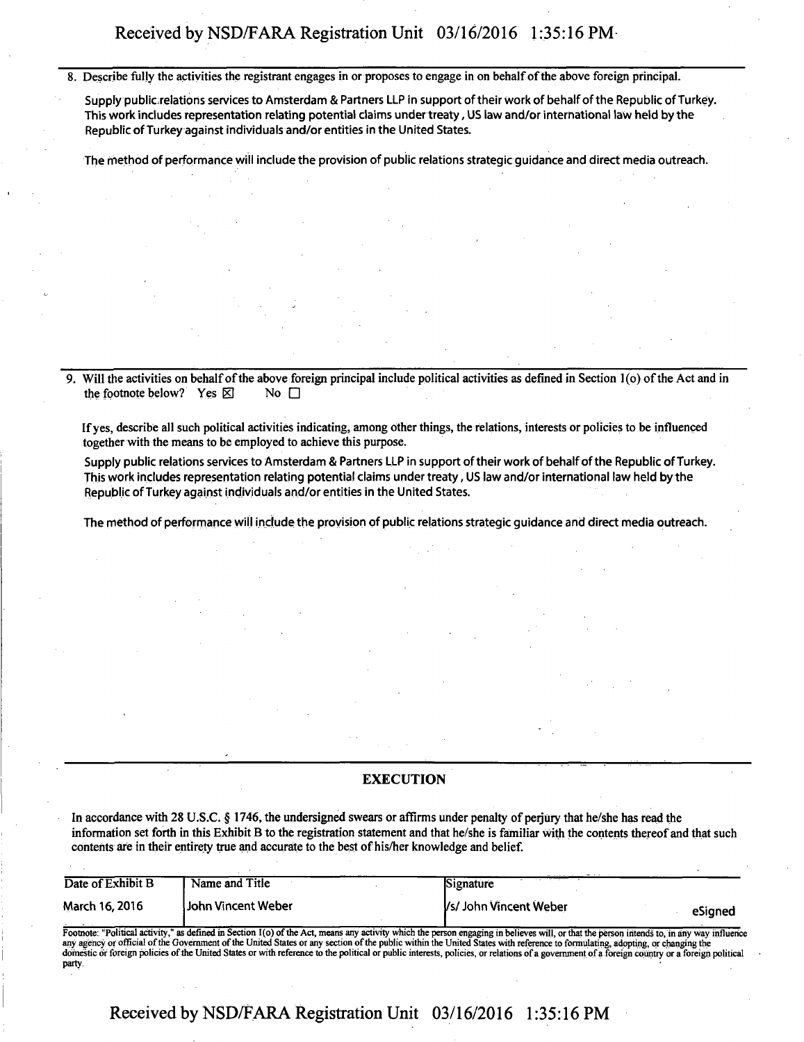**8. Describe fully the activities the registrant engages in or proposes to engage in on behalf of the above foreign principal.** 

**Supply publicrelations services to Amsterdam & Partners LLP in support of their work of behalf of the Republic of Turkey. This work includes representation relating potential claims under treaty, US law and/or international law held by the Republic of Turkey against individuals and/or entities in the United States.** 

**The method of performance will include the provision of public relations strategic guidance and direct media outreach.** 

Will the activities on behalf of the above foreign principal include political activities as defined in Section 1(o) of the Act and in the footnote below? Yes  $\boxtimes$ **the footnote below?** Yes  $\boxtimes$ 

**If yes, describe all such political activities indicating, among other things, the relations, interests or policies to be influenced together with the means to be employed to achieve this purpose.** 

**Supply public relations services to Amsterdam & Partners LLP in support of their work of behalf of the Republic of Turkey. This work includes representation relating potential claims under treaty, US law and/or international law held by the Republic of Turkey against individuals and/or entities in the United States.** 

**The method of performance will include the provision of public relations strategic guidance and direct media outreach.** 

#### **EXECUTION**

**In accordance with 28 U.S.C. § 1746, the undersigned swears or affirms under penalty of perjury that he/she has read the information set forth in this Exhibit B to the registration statement and that he/she is familiar with the contents thereof and that such contents are in their entirety true and accurate to the best of his/her knowledge and belief.** 

| Date of Exhibit B | Name and Title                                                                                                                                                                                                                                                                                                                                                                                                                                                                                                                                                            | Signature             |         |
|-------------------|---------------------------------------------------------------------------------------------------------------------------------------------------------------------------------------------------------------------------------------------------------------------------------------------------------------------------------------------------------------------------------------------------------------------------------------------------------------------------------------------------------------------------------------------------------------------------|-----------------------|---------|
| March 16, 2016    | Uohn Vincent Weber                                                                                                                                                                                                                                                                                                                                                                                                                                                                                                                                                        | Vs/John Vincent Weber | eSianed |
|                   | Footnote: "Political activity," as defined in Section 1(o) of the Act, means any activity which the person engaging in believes will, or that the person intends to, in any way influence<br>any agency or official of the Government of the United States or any section of the public within the United States with reference to formulating, adopting, or changing the<br>domestic or foreign policies of the United States or with reference to the political or public interests, policies, or relations of a government of a foreign country or a foreign political |                       |         |

**Received by NSD/FARA Registration Unit 03/16/2016 1:35:16 PM** 

party.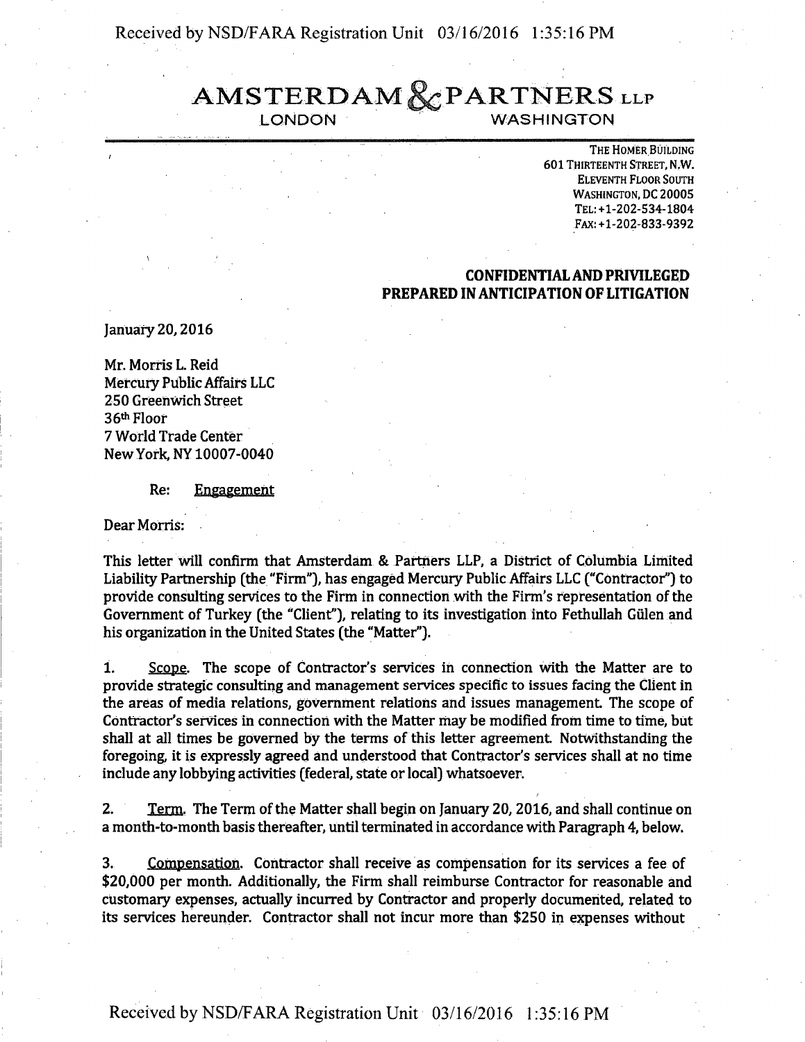# **AMSTERDAM & PARTNERS** LLP

WASHINGTON

**THE HOMER BUILDING 601 THIRTEENTH STREET, N.W. ELEVENTH FLOOR SOUTH WASHINGTON, DC 20005 TEL:+1-202-534-1804 FAX:+l-202-833-9392** 

# **CONFIDENTIAL AND PRIVILEGED PREPARED IN ANTICIPATION OF LITIGATION**

**January 20,2016** 

**Mr. Morris L. Reid Mercury Public Affairs LLC 250 Greenwich Street 36th Floor 7 World Trade Center New York, NY 10007-0040** 

**Re: Engagement** 

**Dear Morris:** 

**This letter will confirm that Amsterdam & Partners LLP, a District of Columbia Limited Liability Partnership (the "Firm"), has engaged Mercury Public Affairs LLC ("Contractor") to**  provide consulting services to the Firm in connection with the Firm's representation of the **Government of Turkey (the "Client"), relating to its investigation into Fethullah Giilen and his organization in the United States (the "Matter").** 

**1. Scope. The scope of Contractor's services in connection with the Matter are to provide strategic consulting and management services specific to issues facing the Client in the areas of media relations, government relations and issues management The scope of Contractor's services in connection with the Matter may be modified from time to time, but shall at all times be governed by the terms of this letter agreement Notwithstanding the foregoing, it is expressly agreed and understood that Contractor's services shall at no time include any lobbying activities (federal, state or local) whatsoever.** 

**2. Term. The Term ofthe Matter shall begin on January 20,2016, and shall continue on a month-to-month basis thereafter, until terminated in accordance with Paragraph 4, below.** 

**3. Compensation. Contractor shall receive as compensation for its services a fee of \$20,000 per month. Additionally, the Firm shall reimburse Contractor for reasonable and customary expenses, actually incurred by Contractor and properly documented, related to its services hereunder. Contractor shall not incur more than \$250 in expenses without** 

**Received by NSD/FARA Registration Unit 03/16/2016 1:35:16 PM**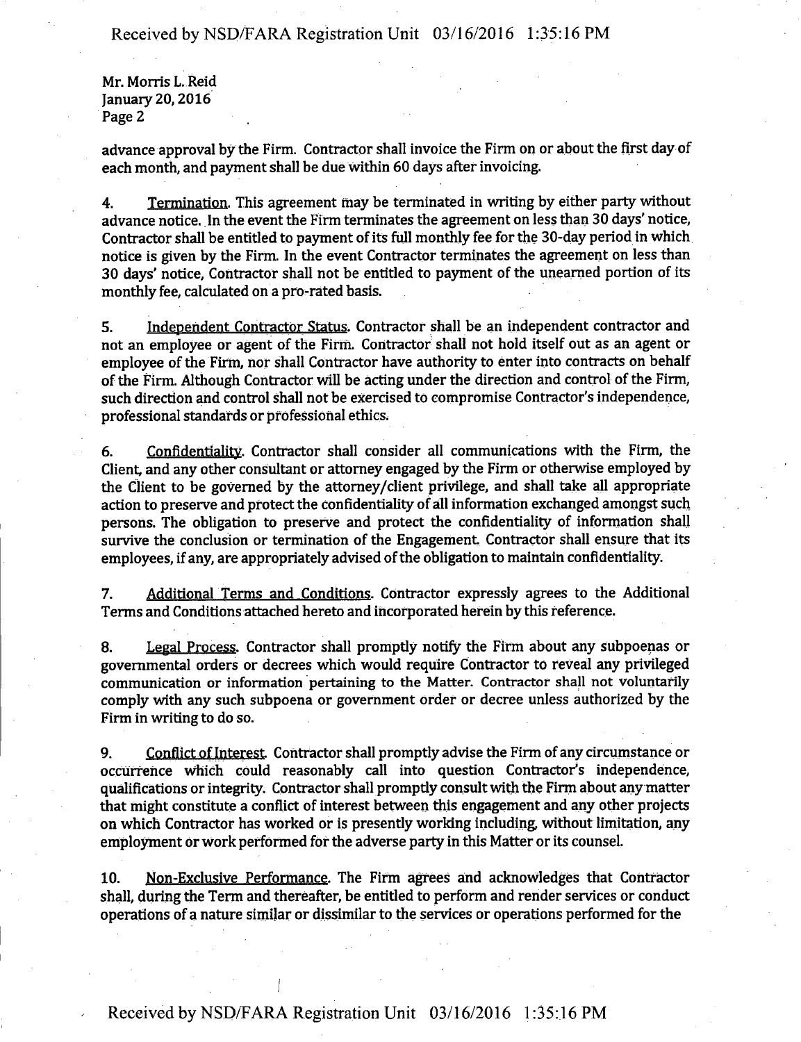**Mr. Morris L.Reid January 20,2016 Page 2** 

**advance approval by the Firm. Contractor shall invoice the Firm on or about the first day of each month, and payment shall be due within 60 days after invoicing.** 

**4. Termination. This agreement may be terminated in writing by either party without advance notice. In the event the Firm terminates the agreement on less than 30 days' notice, Contractor shall be entitled to payment of its full monthly fee for the 30-day period in which notice is given by the Firm. In the event Contractor terminates the agreement on less than 30 days' notice, Contractor shall not be entitied to payment of the unearned portion of its monthly fee, calculated on a pro-rated basis.** 

**5. Independent Contractor Status. Contractor shall be an independent contractor and not an employee or agent of the Firm. Contractor shall not hold itself out as an agent or employee of the Firm, nor shall Contractor have authority to enter into contracts on behalf**  of the Firm. Although Contractor will be acting under the direction and control of the Firm, **such direction and control shall not be exercised to compromise Contractor's independence, professional standards or professional ethics.** 

**6. Confidentiality. Contractor shall consider all communications with the Firm, the Client, and any other consultant or attorney engaged by the Firm or otherwise employed by the Client to be governed by the attorney/client privilege, and shall take all appropriate action to preserve and protect the confidentiality of all information exchanged amongst such persons. The obligation to preserve and protect the confidentiality of information shall survive the conclusion or termination of the Engagement. Contractor shall ensure that its employees, if any, are appropriately advised of the obligation to maintain confidentiality.** 

**7. Additional Terms and Conditions. Contractor expressly agrees to the Additional Terms and Conditions attached hereto and incorporated herein by this reference.** 

**8. Legal Process. Contractor shall promptiy notify the Firm about any subpoenas or governmental orders or decrees which would require Contractor to reveal any privileged communication or information pertaining to the Matter. Contractor shall not voluntarily comply with any such subpoena or government order or decree unless authorized by the Firm in writing to do so.** 

**9. Conflict of Interest Contractor shall promptly advise the Firm of any circumstance or occurrence which could reasonably call into question Contractor's independence, qualifications or integrity. Contractor shall promptiy consult with the Firm about any matter that might constitute a conflict of interest between this engagement and any other projects on which Contractor has worked or is presently working including without limitation, any**  employment or work performed for the adverse party in this Matter or its counsel.

**10. Non-Exclusive Performance. The Firm agrees and acknowledges that Contractor shall, during the Term and thereafter, be entitled to perform and render services or conduct operations of a nature similar or dissimilar to the services or operations performed for the** 

**. • j**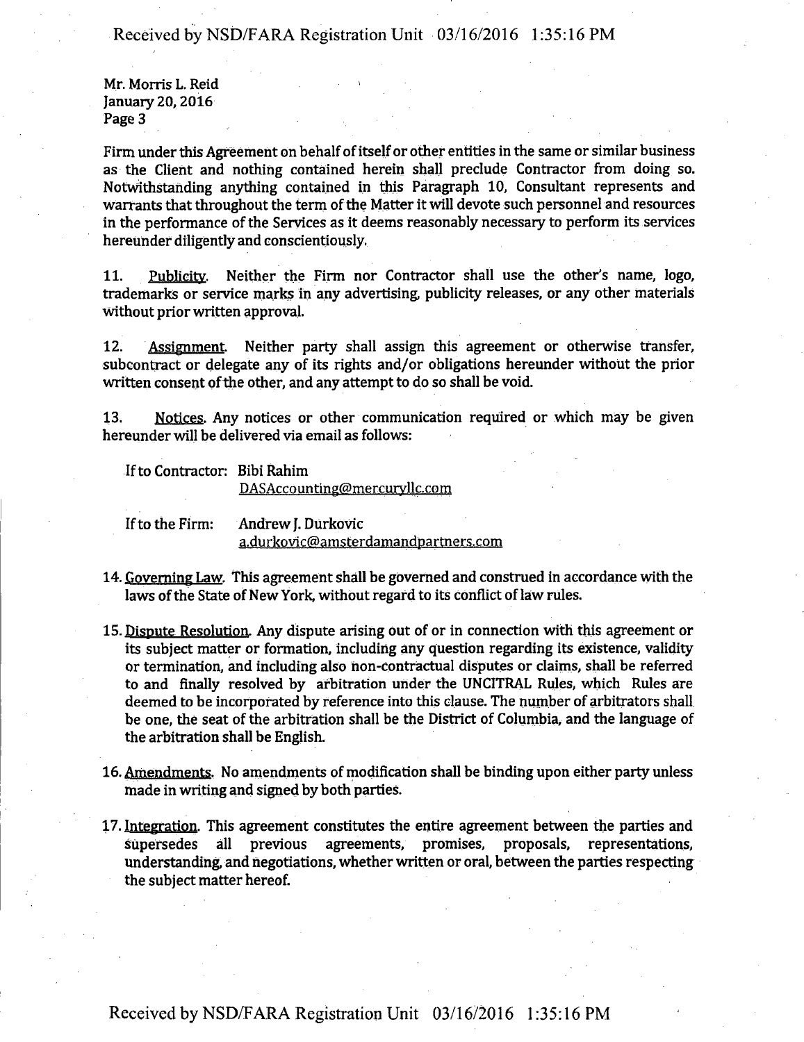**Mr. Morris L. Reid 1 January 20,2016 Page 3** 

**Firm under this Agreement on behalf of itself or other entities in the same or similar business as the Client and nothing contained herein shall preclude Contractor from doing so. Notwithstanding anything contained in this Paragraph 10, Consultant represents and**  warrants that throughout the term of the Matter it will devote such personnel and resources in the performance of the Services as it deems reasonably necessary to perform its services **hereunder diligently and conscientiously.** 

**11. Publicity. Neither the Firm nor Contractor shall use the other's name, logo, trademarks or service marks in any advertising publicity releases, or any other materials without prior written approval.** 

**12. Assignment Neither party shall assign this agreement or otherwise transfer, subcontract or delegate any of its rights and/or obligations hereunder without the prior**  written consent of the other, and any attempt to do so shall be void.

**13. Notices. Any notices or other communication required or which may be given hereunder will be delivered via email as follows:** 

If to Contractor: Bibi Rahim

**DASAccounting@mercuryUc.com** 

**If to the Firm: Andrew J. Durkovie a.durkovic(5)amsterdamandpartners.com** 

- **14. Governing Law. This agreement shall be governed and construed in accordance with the laws of the State of New York, without regard to its conflict of law rules.**
- 15. Dispute Resolution. Any dispute arising out of or in connection with this agreement or **its subject matter or formation, including any question regarding its existence, validity**  or termination, and including also non-contractual disputes or claims, shall be referred **to and finally resolved by arbitration under the UNCITRAL Rules, which Rules are deemed to be incorporated by reference into this clause. The number of arbitrators shall be one, the seat of the arbitration shall be the District of Columbia, and the language of the arbitration shall be English.**
- **16. Amendments. No amendments of modification shall be binding upon either party unless made in writing and signed by both parties.**
- **17. Integration. This agreement constitutes the entire agreement between the parties and supersedes all previous agreements, promises, proposals, representations, understanding, and negotiations, whether written or oral, between the parties respecting the subject matter hereof.**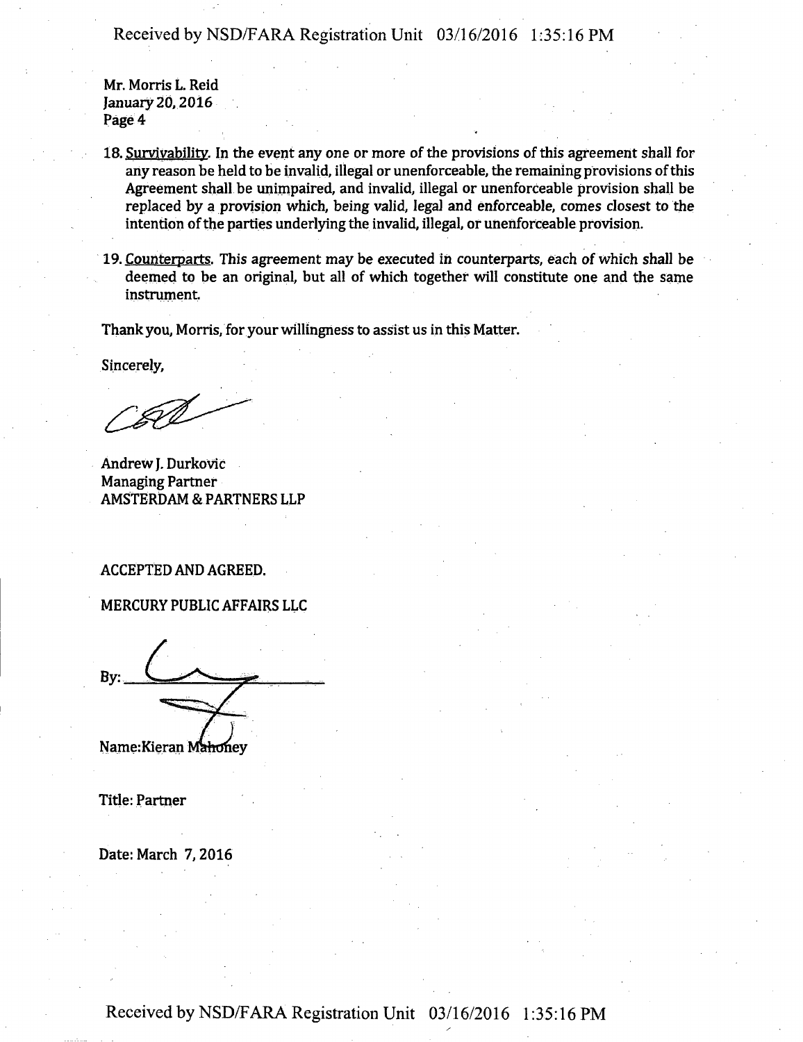**Mr. Morris L. Reid January 20,2016 Page 4** 

- 18. Survivability. In the event any one or more of the provisions of this agreement shall for **any reason be held to be invalid, illegal or unenforceable, the remaining provisions of this Agreement shall be unimpaired, and invalid, illegal or unenforceable provision shall be replaced by a provision which, being valid, legal and enforceable, comes closest to the intention of the parties underlying the invalid, illegal, or unenforceable provision.**
- **19. Counterparts. This agreement may be executed in counterparts, each of which shall be deemed to be an original, but all of which together will constitute one and the same instrument,**

**Thank you, Morris, for your willingness to assist us in this Matter.** 

**Sincerely,** 

**Andrew J. Durkovic Managing Partner AMSTERDAM & PARTNERS LLP** 

#### **ACCEPTED AND AGREED.**

**MERCURY PUBLIC AFFAIRS LLC** 

**By:** 

**Name:Kieran** 

**Title: Partner** 

**Date: March 7,2016**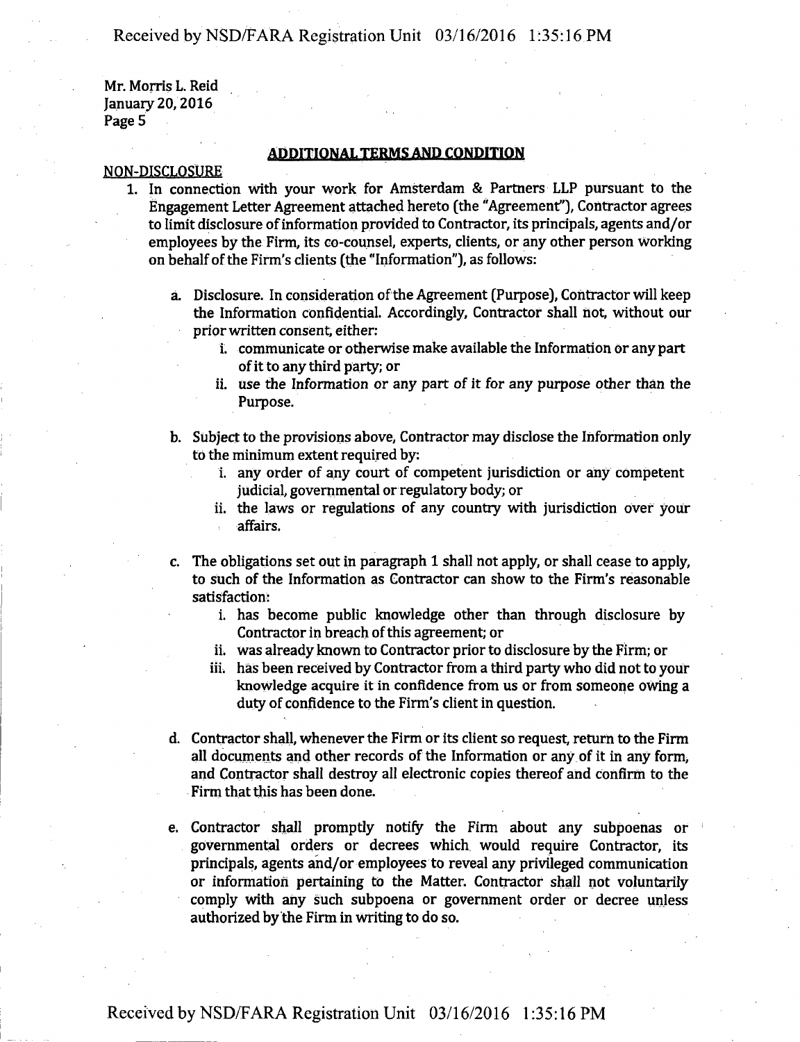Mr. Morris L. Reid January 20,2016 Page 5

#### **ADDITIONAL TERMS AND CONDITION**

### NON-DISCLOSURE

- 1. In connection with your work for Amsterdam & Partners LLP pursuant to the Engagement Letter Agreement attached hereto (the "Agreement"], Contractor agrees to limit disclosure of information provided to Contractor, its principals, agents and/or employees by the Firm, its co-counsel, experts, clients, or any other person working on behalf of the Firm's clients (the "Information"), as follows:
	- a. Disclosure. In consideration of the Agreement (Purpose), Contractor will keep the Information confidential. Accordingly, Contractor shall not, without our prior written consent, either:
		- i. communicate or otherwise make available the Information or any part of it to any third party; or
		- ii. use the Information or any part of it for any purpose other than the Purpose.
	- b. Subject to the provisions above, Contractor may disclose the Information only to the minimum extent required by:
		- i. any order of any court of competent jurisdiction or any competent judicial, governmental or regulatory body; or
		- ii. the laws or regulations of any country with jurisdiction over your affairs.
	- c. The obligations set out in paragraph 1 shall not apply, or shall cease to apply, to such of the Information as Contractor can show to the Firm's reasonable satisfaction:
		- i. has become public knowledge other than through disclosure by Contractor in breach of this agreement; or
		- ii. was already known to Contractor prior to disclosure by the Firm; or
		- iii. has been received by Contractor from a third party who did not to your knowledge acquire it in confidence from us or from someone owing a duty of confidence to the Firm's client in question.
	- d. Contractor shall, whenever the Firm or its client so request, return to the Firm all documents and other records of the Information or any of it in any form, and Contractor shall destroy all electronic copies thereof and confirm to the Firm that this has been done.
	- e. Contractor shall promptly notify the Firm about any subpoenas or governmental orders or decrees which would require Contractor, its principals, agents and/or employees to reveal any privileged communication or information pertaining to the Matter. Contractor shall not voluntarily comply with any such subpoena or government order or decree unless authorized by the Firm in Writing to do so.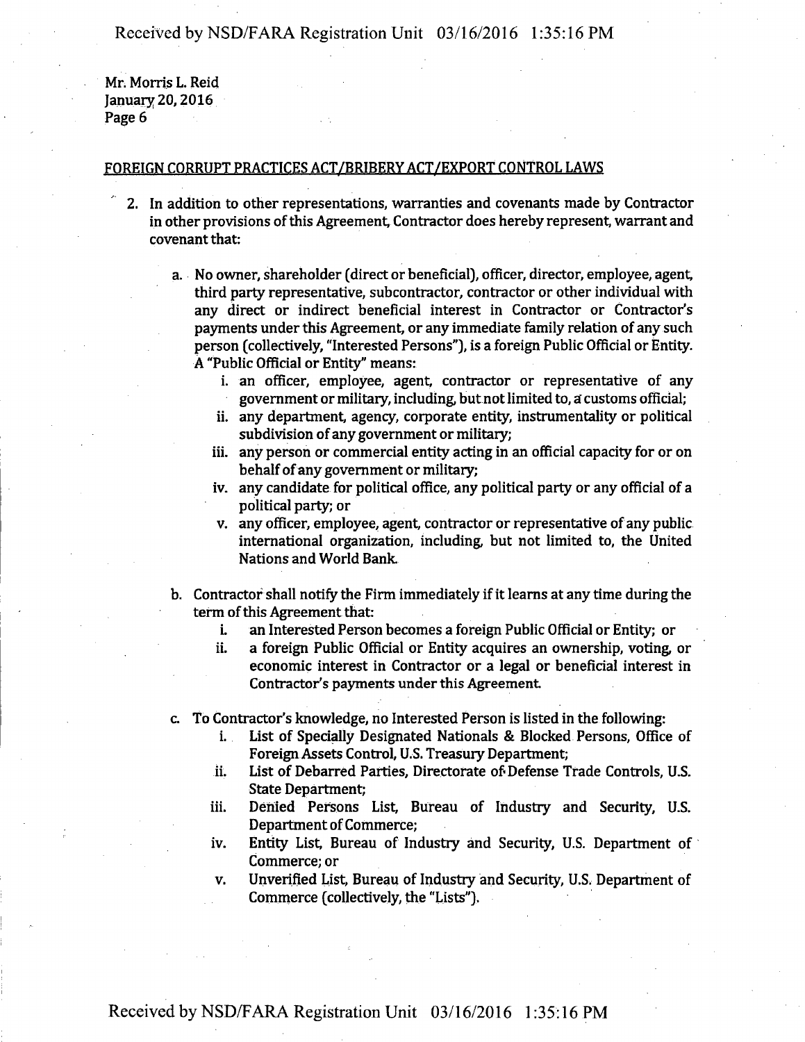**Mr. Morris L. Reid January 20,2016 Page 6** 

#### **FOREIGN CORRUPT PRACTICES ACT/BRIBERY ACT/EXPORT CONTROL LAWS**

- **2. In addition to other representations, warranties and covenants made by Contractor in other provisions of this Agreement, Contractor does hereby represent, warrant and covenant that:** 
	- **a. No owner, shareholder (direct or beneficial), officer, director, employee, agent, third party representative, subcontractor, contractor or other individual with any direct or indirect beneficial interest in Contractor or Contractor's payments under this Agreement, or any immediate family relation of any such person (collectively, "Interested Persons"), is a foreign Public Official or Entity. A "Public Official or Entity" means:** 
		- **i. an officer, employee, agent, contractor or representative of any government or military, including but not limited to, a customs official;**
		- **ii. any department, agency, corporate entity, instrumentality or political subdivision of any government or military;**
		- **iii. any person or commercial entity acting in an official capacity for or on behalf of any government or military;**
		- **iv. any candidate for political office, any political party or any official of a political party; or**
		- **v. any officer, employee, agent, contractor or representative of any public international organization, including but not limited to, the United Nations and World Bank.**
	- **b. Contractor shall notify the Firm immediately if it learns at any time during the term of this Agreement that:** 
		- **i. an Interested Person becomes a foreign Public Official or Entity; or**
		- **ii. a foreign Public Official or Entity acquires an ownership, voting or economic interest in Contractor or a legal or beneficial interest in Contractor's payments under this Agreement**
	- **c. To Contractor's knowledge, no Interested Person is listed in the following:** 
		- **i. List of Specially Designated Nationals & Blocked Persons, Office of Foreign Assets Control, U.S. Treasury Department;**
		- **ii. List of Debarred Parties, Directorate of Defense Trade Controls, U.S. State Department;**
		- **iii. Denied Persons List, Bureau of Industry and Security, U.S. Department of Commerce;**
		- **iv. Entity List, Bureau of Industry and Security, U.S. Department of Commerce; or**
		- **v. Unverified List, Bureau of Industry and Security, U.S. Department of Commerce (collectively, the "Lists").**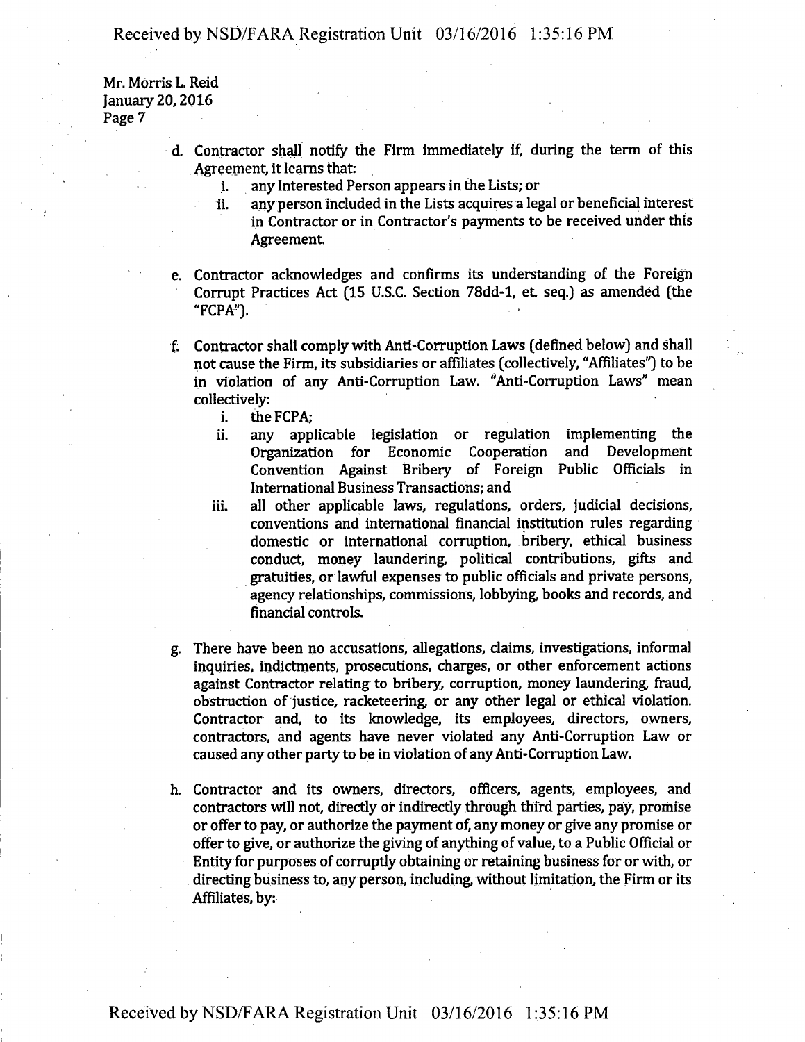**Mr. Morris L. Reid January 20,2016 Page 7** 

- **d. Contractor shall notify the Firm immediately if, during the term of this Agreement, it learns that:** 
	- **i. any Interested Person appears in the Lists; or**
	- **ii. any person included in the Lists acquires a legal or beneficial interest in Contractor or in Contractor's payments to be received under this**  Agreement.
- **e. Contractor acknowledges and confirms its understanding of the Foreign Corrupt Practices Act (15 U.S.C. Section 78dd-l, et seq.) as amended (the "FCPA").**
- **f. Contractor shall comply with Anti-Corruption Laws (defined below) and shall not cause the Firm, its subsidiaries or affiliates (collectively, "Affiliates") to be in violation of any Anti-Corruption Law. "Anti-Corruption Laws" mean collectively:** 
	- **i. the FCPA;**
	- **ii. any applicable legislation or regulation implementing the Organization for Economic Cooperation and Development Convention Against Bribery of Foreign Public Officials in International Business Transactions; and**
	- **iii. all other applicable laws, regulations, orders, judicial decisions, conventions and international financial institution rules regarding domestic or international corruption, bribery, ethical business conduct, money laundering political contributions, gifts and gratuities, or lawful expenses to public officials and private persons, agency relationships, commissions, lobbying books and records, and financial controls.**
- **g. There have been no accusations, allegations, claims, investigations, informal inquiries, indictments, prosecutions, charges, or other enforcement actions against Contractor relating to bribery, corruption, money laundering fraud, obstruction of justice, racketeering or any other legal or ethical violation. Contractor and, to its knowledge, its employees, directors, owners, contractors, and agents have never violated any Anti-Corruption Law or caused any other party to be in violation of any Anti-Corruption Law.**
- **h. Contractor and its owners, directors, officers, agents, employees, and contractors will not, directly or indirectly through third parties, pay, promise or offer to pay, or authorize the payment of, any money or give any promise or offer to give, or authorize the giving of anything of value, to a Public Official or Entity for purposes of corruptly obtaining or retaining business for or with, or . directing business to, any person, including without limitation, the Firm or its Affiliates, by:**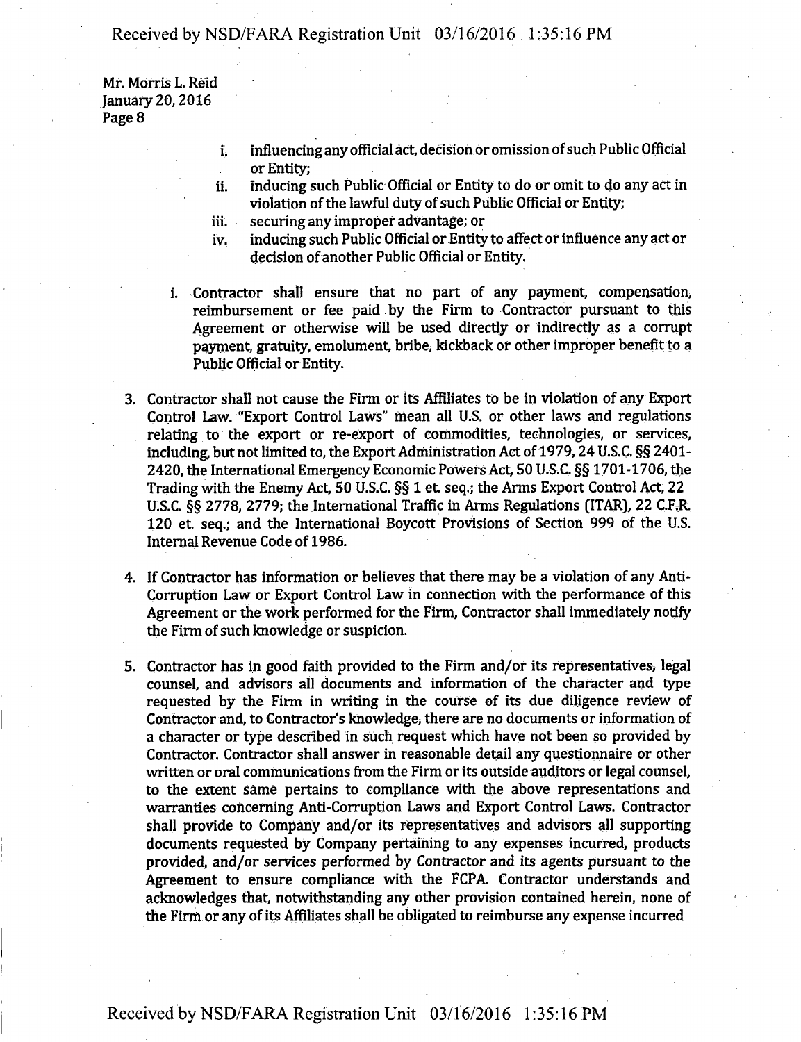**Mr. MOrris L. Reid January 20,2016 Page 8** 

- **influencing any official act, decision or omission of such Public Official**  i. **or Entity;**
- **inducing such Public Official or Entity to do or omit to do any act in violation of the lawful duty of such Public Official or Entity;**  ii.
- **securing any improper advantage; or iii.**
- **inducing such Public Official or Entity to affect or influence any act or decision of another Public Official or Entity. iv.**
- **i. Contractor shall ensure that no part of any payment, compensation, reimbursement or fee paid by the Firm to Contractor pursuant to this Agreement or otherwise will be used directiy or indirectly as a corrupt payment, gratuity, emolument, bribe, kickback or other improper benefit to a Public Official or Entity.**
- **3. Contractor shall not cause the Firm or its Affiliates to be in violation of any Export Control Law. "Export Control Laws" mean all U.S. or other laws and regulations relating to the export or re-export of commodities, technologies, or services, including but not limited to, the Export Administration Act of 1979,24 U.S.C. §§ 2401- 2420, the International Emergency Economic Powers Act, 50 U.S.C. §§ 1701-1706, the Trading with the Enemy Act, 50 U.S.C. §§ 1 et seq.; the Arms Export Control Act, 22 U.S.C. §§ 2778, 2779; the International Traffic in Arms Regulations (ITAR), 22 C.F.R. 120 et seq.; and the International Boycott Provisions of Section 999 of the U.S. Internal Revenue Code of 1986.**
- **4. If Contractor has information or believes that there may be a violation of any Anti-Corruption Law or Export Control Law in connection with the performance of this Agreement or the work performed for the Firm, Contractor shall immediately notify the Firm of such knowledge or suspicion.**
- **5. Contractor has in good faith provided to the Firm and/or its representatives, legal counsel, and advisors all documents and information of the character and type requested by the Firm in writing in the course of its due diligence review of Contractor and, to Contractor's knowledge, there are no documents or information of a character or type described in such request which have not been so provided by Contractor. Contractor shall answer in reasonable detail any questionnaire or other written or oral communications from the Firm or its outside auditors or legal counsel, to the extent same pertains to compliance with the above representations and warranties concerning Anti-Corruption Laws and Export Control Laws. Contractor shall provide to Company and/or its representatives and advisors all supporting documents requested by Company pertaining to any expenses incurred, products provided, and/or services performed by Contractor and its agents pursuant to die Agreement to ensure compliance with the FCPA Contractor understands and**  acknowledges that, notwithstanding any other provision contained herein, none of **the Firm or any of its Affiliates shall be obligated to reimburse any expense incurred**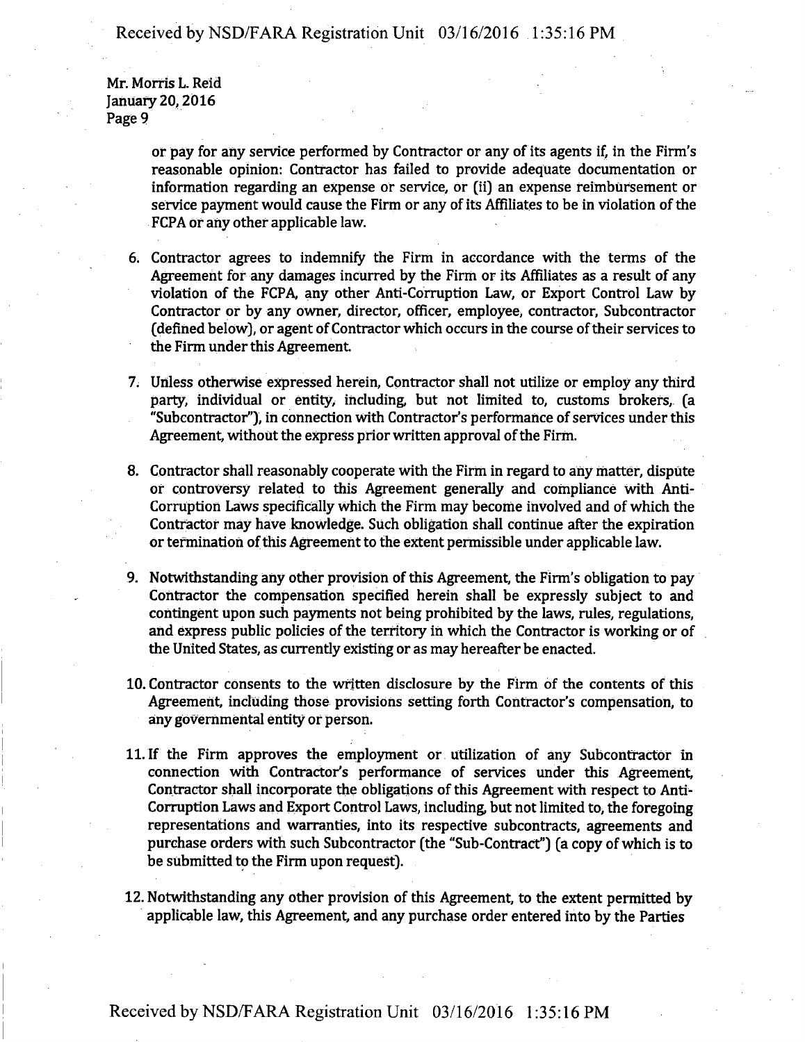**Mr. Morris L. Reid January 20,2016 Page 9** 

> **or pay for any service performed by Contractor or any of its agents if, in the Firm's reasonable opinion: Contractor has failed to provide adequate documentation or information regarding an expense or service, or (ii) an expense reimbursement or**  service payment would cause the Firm or any of its Affiliates to be in violation of the **FCPA or any other applicable law.**

- **6. Contractor agrees to indemnify the Firm in accordance with the terms of the Agreement for any damages incurred by the Firm or its Affiliates as a result of any violation of the FCPA, any other Anti-Corruption Law, or Export Control Law by Contractor or by any owner, director, officer, employee, contractor, Subcontractor (defined below), or agent of Contractor which occurs in the course of their services to the Firm under this Agreement.**
- **7. Unless otherwise expressed herein, Contractor shall not utilize or employ any third party, individual or entity, including but not limited to, customs brokers, (a "Subcontractor"), in connection With Contractor's performance of services under this Agreement, without the express prior written approval of the Firm.**
- **8. Contractor shall reasonably cooperate with the Firm in regard to any matter, dispute or controversy related to this Agreement generally and compliance With Anti-Corruption Laws specifically Which the Firm may become involved and of which the Contractor may have knowledge. Such obligation shall continue after the expiration Or termination of this Agreement to the extent permissible under applicable law.**
- **9. Notwithstanding any other provision of this Agreement, the Firm's obligation to pay Contractor the compensation specified herein shall be expressly subject to and contingent upon such payments not being prohibited by the laws, rules, regulations,**  and express public policies of the territory in which the Contractor is working or of **the United States, as currentiy existing or as may hereafter be enacted.**
- **10. Contractor consents to the written disclosure by the Firm of the contents of this Agreement, including those provisions setting forth Contractor's compensation, to any governmental entity or person.**
- **11. If the Firm approves the employment or utilization of any Subcontractor in connection with Contractor's performance of services under this Agreement, Contractor shall incorporate the obligations of this Agreement with respect to Anti-Corruption Laws and Export Control Laws, including but not limited to, the foregoing representations and warranties, into its respective subcontracts, agreements and purchase orders with such Subcontractor (the "Sub-Contract") (a copy of which is to be submitted to the Firm upon request).**
- **12. Notwithstanding any other provision of this Agreement, to the extent permitted by applicable law, this Agreement, and any purchase order entered into by the Parties**

**Received by NSD/FARA Registration Unit 03/16/2016 1:35:16 PM**